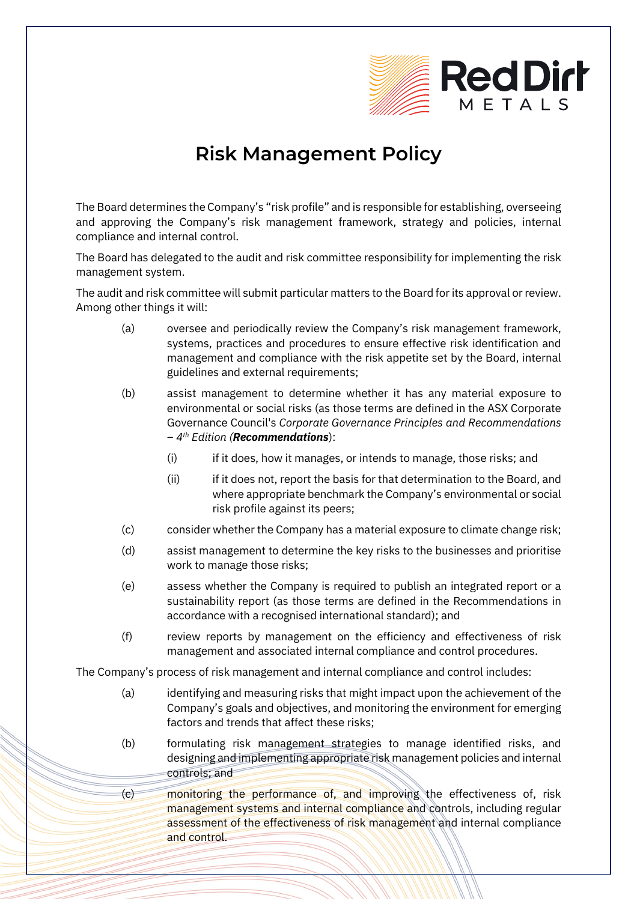

## **Risk Management Policy**

The Board determines the Company's "risk profile" and is responsible for establishing, overseeing and approving the Company's risk management framework, strategy and policies, internal compliance and internal control.

The Board has delegated to the audit and risk committee responsibility for implementing the risk management system.

The audit and risk committee will submit particular matters to the Board for its approval or review. Among other things it will:

- (a) oversee and periodically review the Company's risk management framework, systems, practices and procedures to ensure effective risk identification and management and compliance with the risk appetite set by the Board, internal guidelines and external requirements;
- (b) assist management to determine whether it has any material exposure to environmental or social risks (as those terms are defined in the ASX Corporate Governance Council's *Corporate Governance Principles and Recommendations – 4th Edition (Recommendations*):
	- (i) if it does, how it manages, or intends to manage, those risks; and
	- (ii) if it does not, report the basis for that determination to the Board, and where appropriate benchmark the Company's environmental or social risk profile against its peers;
- (c) consider whether the Company has a material exposure to climate change risk;
- (d) assist management to determine the key risks to the businesses and prioritise work to manage those risks;
- (e) assess whether the Company is required to publish an integrated report or a sustainability report (as those terms are defined in the Recommendations in accordance with a recognised international standard); and
- (f) review reports by management on the efficiency and effectiveness of risk management and associated internal compliance and control procedures.

The Company's process of risk management and internal compliance and control includes:

- (a) identifying and measuring risks that might impact upon the achievement of the Company's goals and objectives, and monitoring the environment for emerging factors and trends that affect these risks;
- (b) formulating risk management strategies to manage identified risks, and designing and implementing appropriate risk management policies and internal controls; and
- (c) monitoring the performance of, and improving the effectiveness of, risk management systems and internal compliance and controls, including regular assessment of the effectiveness of risk management and internal compliance and control.